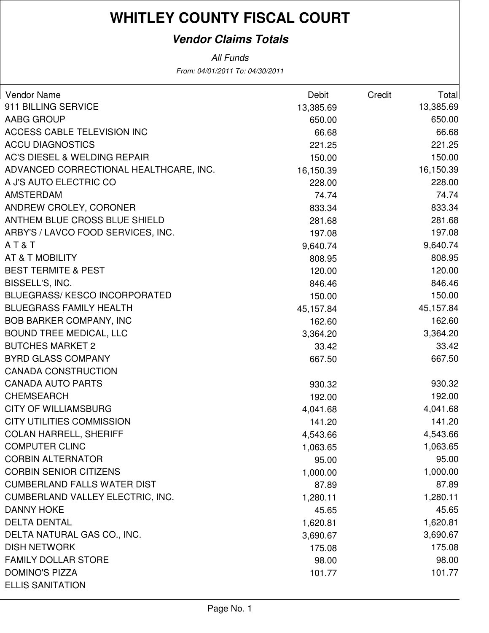### **Vendor Claims Totals**

| Vendor Name                             | Debit     | Credit | Total     |
|-----------------------------------------|-----------|--------|-----------|
| 911 BILLING SERVICE                     | 13,385.69 |        | 13,385.69 |
| AABG GROUP                              | 650.00    |        | 650.00    |
| ACCESS CABLE TELEVISION INC             | 66.68     |        | 66.68     |
| <b>ACCU DIAGNOSTICS</b>                 | 221.25    |        | 221.25    |
| <b>AC'S DIESEL &amp; WELDING REPAIR</b> | 150.00    |        | 150.00    |
| ADVANCED CORRECTIONAL HEALTHCARE, INC.  | 16,150.39 |        | 16,150.39 |
| A J'S AUTO ELECTRIC CO                  | 228.00    |        | 228.00    |
| <b>AMSTERDAM</b>                        | 74.74     |        | 74.74     |
| ANDREW CROLEY, CORONER                  | 833.34    |        | 833.34    |
| ANTHEM BLUE CROSS BLUE SHIELD           | 281.68    |        | 281.68    |
| ARBY'S / LAVCO FOOD SERVICES, INC.      | 197.08    |        | 197.08    |
| AT&T                                    | 9,640.74  |        | 9,640.74  |
| AT & T MOBILITY                         | 808.95    |        | 808.95    |
| <b>BEST TERMITE &amp; PEST</b>          | 120.00    |        | 120.00    |
| BISSELL'S, INC.                         | 846.46    |        | 846.46    |
| <b>BLUEGRASS/KESCO INCORPORATED</b>     | 150.00    |        | 150.00    |
| <b>BLUEGRASS FAMILY HEALTH</b>          | 45,157.84 |        | 45,157.84 |
| <b>BOB BARKER COMPANY, INC</b>          | 162.60    |        | 162.60    |
| <b>BOUND TREE MEDICAL, LLC</b>          | 3,364.20  |        | 3,364.20  |
| <b>BUTCHES MARKET 2</b>                 | 33.42     |        | 33.42     |
| <b>BYRD GLASS COMPANY</b>               | 667.50    |        | 667.50    |
| <b>CANADA CONSTRUCTION</b>              |           |        |           |
| <b>CANADA AUTO PARTS</b>                | 930.32    |        | 930.32    |
| <b>CHEMSEARCH</b>                       | 192.00    |        | 192.00    |
| <b>CITY OF WILLIAMSBURG</b>             | 4,041.68  |        | 4,041.68  |
| <b>CITY UTILITIES COMMISSION</b>        | 141.20    |        | 141.20    |
| <b>COLAN HARRELL, SHERIFF</b>           | 4,543.66  |        | 4,543.66  |
| <b>COMPUTER CLINC</b>                   | 1,063.65  |        | 1,063.65  |
| <b>CORBIN ALTERNATOR</b>                | 95.00     |        | 95.00     |
| <b>CORBIN SENIOR CITIZENS</b>           | 1,000.00  |        | 1,000.00  |
| <b>CUMBERLAND FALLS WATER DIST</b>      | 87.89     |        | 87.89     |
| <b>CUMBERLAND VALLEY ELECTRIC, INC.</b> | 1,280.11  |        | 1,280.11  |
| <b>DANNY HOKE</b>                       | 45.65     |        | 45.65     |
| <b>DELTA DENTAL</b>                     | 1,620.81  |        | 1,620.81  |
| DELTA NATURAL GAS CO., INC.             | 3,690.67  |        | 3,690.67  |
| <b>DISH NETWORK</b>                     | 175.08    |        | 175.08    |
| <b>FAMILY DOLLAR STORE</b>              | 98.00     |        | 98.00     |
| <b>DOMINO'S PIZZA</b>                   | 101.77    |        | 101.77    |
| <b>ELLIS SANITATION</b>                 |           |        |           |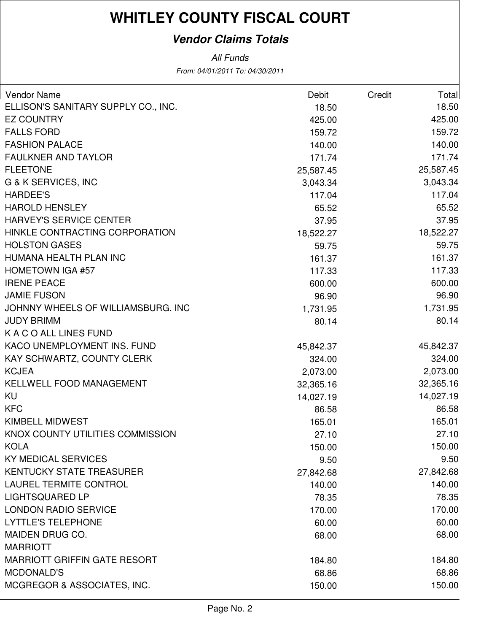### **Vendor Claims Totals**

| ELLISON'S SANITARY SUPPLY CO., INC.<br>18.50<br>18.50<br>425.00<br><b>EZ COUNTRY</b><br>425.00<br><b>FALLS FORD</b><br>159.72<br>159.72<br><b>FASHION PALACE</b><br>140.00<br>140.00<br>171.74<br><b>FAULKNER AND TAYLOR</b><br>171.74<br><b>FLEETONE</b><br>25,587.45<br>25,587.45<br>G & K SERVICES, INC<br>3,043.34<br>3,043.34<br>117.04<br><b>HARDEE'S</b><br>117.04<br>65.52<br><b>HAROLD HENSLEY</b><br>65.52<br>HARVEY'S SERVICE CENTER<br>37.95<br>37.95<br>HINKLE CONTRACTING CORPORATION<br>18,522.27<br>18,522.27<br><b>HOLSTON GASES</b><br>59.75<br>59.75<br>HUMANA HEALTH PLAN INC<br>161.37<br>161.37 |
|-----------------------------------------------------------------------------------------------------------------------------------------------------------------------------------------------------------------------------------------------------------------------------------------------------------------------------------------------------------------------------------------------------------------------------------------------------------------------------------------------------------------------------------------------------------------------------------------------------------------------|
|                                                                                                                                                                                                                                                                                                                                                                                                                                                                                                                                                                                                                       |
|                                                                                                                                                                                                                                                                                                                                                                                                                                                                                                                                                                                                                       |
|                                                                                                                                                                                                                                                                                                                                                                                                                                                                                                                                                                                                                       |
|                                                                                                                                                                                                                                                                                                                                                                                                                                                                                                                                                                                                                       |
|                                                                                                                                                                                                                                                                                                                                                                                                                                                                                                                                                                                                                       |
|                                                                                                                                                                                                                                                                                                                                                                                                                                                                                                                                                                                                                       |
|                                                                                                                                                                                                                                                                                                                                                                                                                                                                                                                                                                                                                       |
|                                                                                                                                                                                                                                                                                                                                                                                                                                                                                                                                                                                                                       |
|                                                                                                                                                                                                                                                                                                                                                                                                                                                                                                                                                                                                                       |
|                                                                                                                                                                                                                                                                                                                                                                                                                                                                                                                                                                                                                       |
|                                                                                                                                                                                                                                                                                                                                                                                                                                                                                                                                                                                                                       |
|                                                                                                                                                                                                                                                                                                                                                                                                                                                                                                                                                                                                                       |
|                                                                                                                                                                                                                                                                                                                                                                                                                                                                                                                                                                                                                       |
| <b>HOMETOWN IGA #57</b><br>117.33<br>117.33                                                                                                                                                                                                                                                                                                                                                                                                                                                                                                                                                                           |
| <b>IRENE PEACE</b><br>600.00<br>600.00                                                                                                                                                                                                                                                                                                                                                                                                                                                                                                                                                                                |
| 96.90<br><b>JAMIE FUSON</b><br>96.90                                                                                                                                                                                                                                                                                                                                                                                                                                                                                                                                                                                  |
| 1,731.95<br>JOHNNY WHEELS OF WILLIAMSBURG, INC<br>1,731.95                                                                                                                                                                                                                                                                                                                                                                                                                                                                                                                                                            |
| <b>JUDY BRIMM</b><br>80.14<br>80.14                                                                                                                                                                                                                                                                                                                                                                                                                                                                                                                                                                                   |
| K A C O ALL LINES FUND                                                                                                                                                                                                                                                                                                                                                                                                                                                                                                                                                                                                |
| KACO UNEMPLOYMENT INS. FUND<br>45,842.37<br>45,842.37                                                                                                                                                                                                                                                                                                                                                                                                                                                                                                                                                                 |
| 324.00<br>KAY SCHWARTZ, COUNTY CLERK<br>324.00                                                                                                                                                                                                                                                                                                                                                                                                                                                                                                                                                                        |
| <b>KCJEA</b><br>2,073.00<br>2,073.00                                                                                                                                                                                                                                                                                                                                                                                                                                                                                                                                                                                  |
| <b>KELLWELL FOOD MANAGEMENT</b><br>32,365.16<br>32,365.16                                                                                                                                                                                                                                                                                                                                                                                                                                                                                                                                                             |
| <b>KU</b><br>14,027.19<br>14,027.19                                                                                                                                                                                                                                                                                                                                                                                                                                                                                                                                                                                   |
| <b>KFC</b><br>86.58<br>86.58                                                                                                                                                                                                                                                                                                                                                                                                                                                                                                                                                                                          |
| 165.01<br><b>KIMBELL MIDWEST</b><br>165.01                                                                                                                                                                                                                                                                                                                                                                                                                                                                                                                                                                            |
| 27.10<br>KNOX COUNTY UTILITIES COMMISSION<br>27.10                                                                                                                                                                                                                                                                                                                                                                                                                                                                                                                                                                    |
| <b>KOLA</b><br>150.00<br>150.00                                                                                                                                                                                                                                                                                                                                                                                                                                                                                                                                                                                       |
| <b>KY MEDICAL SERVICES</b><br>9.50<br>9.50                                                                                                                                                                                                                                                                                                                                                                                                                                                                                                                                                                            |
| 27,842.68<br><b>KENTUCKY STATE TREASURER</b><br>27,842.68                                                                                                                                                                                                                                                                                                                                                                                                                                                                                                                                                             |
| <b>LAUREL TERMITE CONTROL</b><br>140.00<br>140.00                                                                                                                                                                                                                                                                                                                                                                                                                                                                                                                                                                     |
| <b>LIGHTSQUARED LP</b><br>78.35<br>78.35                                                                                                                                                                                                                                                                                                                                                                                                                                                                                                                                                                              |
| <b>LONDON RADIO SERVICE</b><br>170.00<br>170.00                                                                                                                                                                                                                                                                                                                                                                                                                                                                                                                                                                       |
| <b>LYTTLE'S TELEPHONE</b><br>60.00<br>60.00                                                                                                                                                                                                                                                                                                                                                                                                                                                                                                                                                                           |
| MAIDEN DRUG CO.<br>68.00<br>68.00                                                                                                                                                                                                                                                                                                                                                                                                                                                                                                                                                                                     |
| <b>MARRIOTT</b>                                                                                                                                                                                                                                                                                                                                                                                                                                                                                                                                                                                                       |
| <b>MARRIOTT GRIFFIN GATE RESORT</b><br>184.80<br>184.80                                                                                                                                                                                                                                                                                                                                                                                                                                                                                                                                                               |
| <b>MCDONALD'S</b><br>68.86<br>68.86                                                                                                                                                                                                                                                                                                                                                                                                                                                                                                                                                                                   |
| MCGREGOR & ASSOCIATES, INC.<br>150.00<br>150.00                                                                                                                                                                                                                                                                                                                                                                                                                                                                                                                                                                       |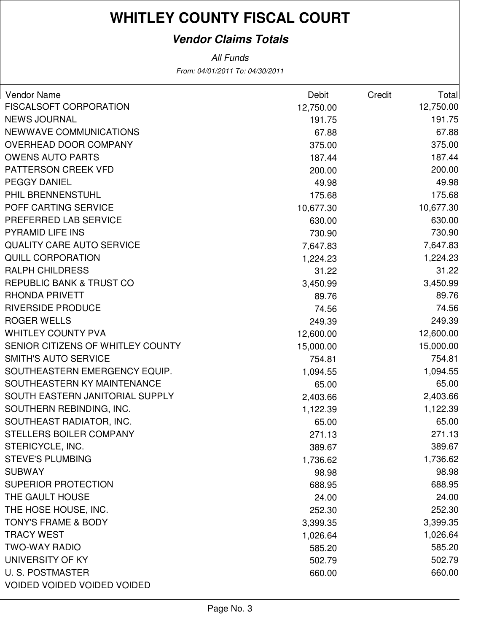### **Vendor Claims Totals**

| <b>Vendor Name</b>                 | <b>Debit</b> | <b>Credit</b> | Total     |
|------------------------------------|--------------|---------------|-----------|
| <b>FISCALSOFT CORPORATION</b>      | 12,750.00    |               | 12,750.00 |
| <b>NEWS JOURNAL</b>                | 191.75       |               | 191.75    |
| NEWWAVE COMMUNICATIONS             | 67.88        |               | 67.88     |
| OVERHEAD DOOR COMPANY              | 375.00       |               | 375.00    |
| <b>OWENS AUTO PARTS</b>            | 187.44       |               | 187.44    |
| PATTERSON CREEK VFD                | 200.00       |               | 200.00    |
| <b>PEGGY DANIEL</b>                | 49.98        |               | 49.98     |
| PHIL BRENNENSTUHL                  | 175.68       |               | 175.68    |
| POFF CARTING SERVICE               | 10,677.30    |               | 10,677.30 |
| PREFERRED LAB SERVICE              | 630.00       |               | 630.00    |
| <b>PYRAMID LIFE INS</b>            | 730.90       |               | 730.90    |
| <b>QUALITY CARE AUTO SERVICE</b>   | 7,647.83     |               | 7,647.83  |
| <b>QUILL CORPORATION</b>           | 1,224.23     |               | 1,224.23  |
| <b>RALPH CHILDRESS</b>             | 31.22        |               | 31.22     |
| REPUBLIC BANK & TRUST CO           | 3,450.99     |               | 3,450.99  |
| <b>RHONDA PRIVETT</b>              | 89.76        |               | 89.76     |
| <b>RIVERSIDE PRODUCE</b>           | 74.56        |               | 74.56     |
| <b>ROGER WELLS</b>                 | 249.39       |               | 249.39    |
| <b>WHITLEY COUNTY PVA</b>          | 12,600.00    |               | 12,600.00 |
| SENIOR CITIZENS OF WHITLEY COUNTY  | 15,000.00    |               | 15,000.00 |
| <b>SMITH'S AUTO SERVICE</b>        | 754.81       |               | 754.81    |
| SOUTHEASTERN EMERGENCY EQUIP.      | 1,094.55     |               | 1,094.55  |
| SOUTHEASTERN KY MAINTENANCE        | 65.00        |               | 65.00     |
| SOUTH EASTERN JANITORIAL SUPPLY    | 2,403.66     |               | 2,403.66  |
| SOUTHERN REBINDING, INC.           | 1,122.39     |               | 1,122.39  |
| SOUTHEAST RADIATOR, INC.           | 65.00        |               | 65.00     |
| STELLERS BOILER COMPANY            | 271.13       |               | 271.13    |
| STERICYCLE, INC.                   | 389.67       |               | 389.67    |
| <b>STEVE'S PLUMBING</b>            | 1,736.62     |               | 1,736.62  |
| <b>SUBWAY</b>                      | 98.98        |               | 98.98     |
| <b>SUPERIOR PROTECTION</b>         | 688.95       |               | 688.95    |
| THE GAULT HOUSE                    | 24.00        |               | 24.00     |
| THE HOSE HOUSE, INC.               | 252.30       |               | 252.30    |
| <b>TONY'S FRAME &amp; BODY</b>     | 3,399.35     |               | 3,399.35  |
| <b>TRACY WEST</b>                  | 1,026.64     |               | 1,026.64  |
| <b>TWO-WAY RADIO</b>               | 585.20       |               | 585.20    |
| UNIVERSITY OF KY                   | 502.79       |               | 502.79    |
| <b>U.S. POSTMASTER</b>             | 660.00       |               | 660.00    |
| <b>VOIDED VOIDED VOIDED VOIDED</b> |              |               |           |